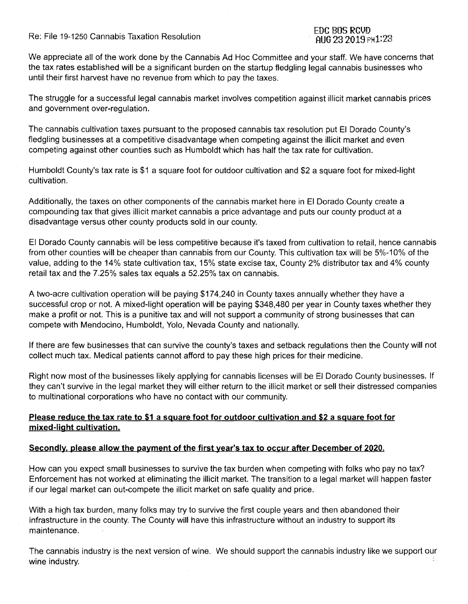Re: File 19-1250 Cannabis Taxation Resolution EDC BOS ROUD

We appreciate all of the work done by the Cannabis Ad Hoc Committee and your staff. We have concerns that the tax rates established will be a significant burden on the startup fledgling legal cannabis businesses who until their first harvest have no revenue from which to pay the taxes.

The struggle for a successful legal cannabis market involves competition against illicit market cannabis prices and government over-regulation.

The cannabis cultivation taxes pursuant to the proposed cannabis tax resolution put El Dorado County's fledgling businesses at a competitive disadvantage when competing against the illicit market and even competing against other counties such as Humboldt which has half the tax rate for cultivation.

Humboldt County's tax rate is \$1 a square foot for outdoor cultivation and \$2 a square foot for mixed-light cultivation.

Additionally, the taxes on other components of the cannabis market here in El Dorado County create a compounding tax that gives illicit market cannabis a price advantage and puts our county product at a disadvantage versus other county products sold in our county.

El Dorado County cannabis will be less competitive because it's taxed from cultivation to retail, hence cannabis from other counties will be cheaper than cannabis from our County. This cultivation tax will be 5%-10% of the value, adding to the 14% state cultivation tax, 15% state excise tax, County 2% distributor tax and 4% county retail tax and the 7.25% sales tax equals a 52.25% tax on cannabis.

A two-acre cultivation operation will be paying \$174,240 in County taxes annually whether they have a successful crop or not. A mixed-light operation will be paying \$348,480 per year in County taxes whether they make a profit or not. This is a punitive tax and will not support a community of strong businesses that can compete with Mendocino, Humboldt, Yolo, Nevada County and nationally.

If there are few businesses that can survive the county's taxes and setback regulations then the County will not collect much tax. Medical patients cannot afford to pay these high prices for their medicine.

Right now most of the businesses likely applying for cannabis licenses will be El Dorado County businesses. If they can't survive in the legal market they will either return to the illicit market or sell their distressed companies to multinational corporations who have no contact with our community.

## **Please reduce the tax rate to \$1 a square foot for outdoor cultivation and \$2 a square foot for mixed-light cultivation.**

## **Secondly. please allow the payment of the first year's tax to occur after December of 2020.**

How can you expect small businesses to survive the tax burden when competing with folks who pay no tax? Enforcement has not worked at eliminating the illicit market. The transition to a legal market will happen faster if our legal market can out-compete the illicit market on safe quality and price.

With a high tax burden, many folks may try to survive the first couple years and then abandoned their infrastructure in the county. The County will have this infrastructure without an industry to support its maintenance.

The cannabis industry is the next version of wine. We should support the cannabis industry like we support our wine industry.